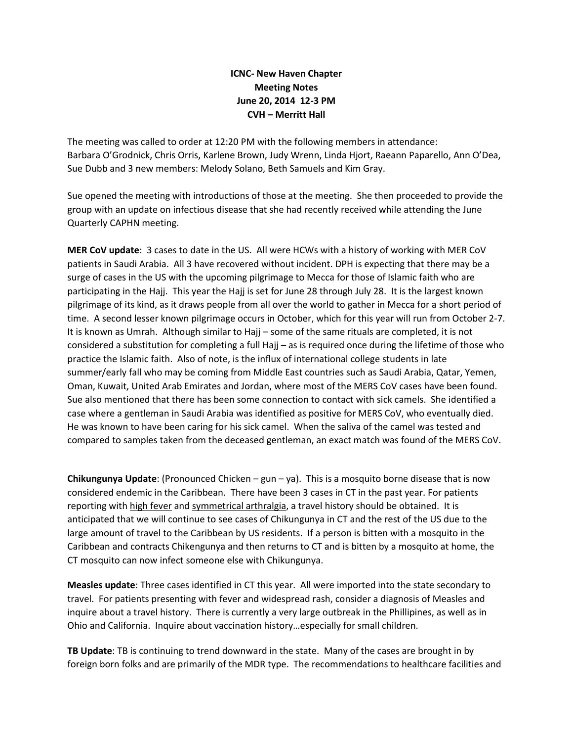## **ICNC- New Haven Chapter Meeting Notes June 20, 2014 12-3 PM CVH – Merritt Hall**

The meeting was called to order at 12:20 PM with the following members in attendance: Barbara O'Grodnick, Chris Orris, Karlene Brown, Judy Wrenn, Linda Hjort, Raeann Paparello, Ann O'Dea, Sue Dubb and 3 new members: Melody Solano, Beth Samuels and Kim Gray.

Sue opened the meeting with introductions of those at the meeting. She then proceeded to provide the group with an update on infectious disease that she had recently received while attending the June Quarterly CAPHN meeting.

**MER CoV update**: 3 cases to date in the US. All were HCWs with a history of working with MER CoV patients in Saudi Arabia. All 3 have recovered without incident. DPH is expecting that there may be a surge of cases in the US with the upcoming pilgrimage to Mecca for those of Islamic faith who are participating in the Hajj. This year the Hajj is set for June 28 through July 28. It is the largest known pilgrimage of its kind, as it draws people from all over the world to gather in Mecca for a short period of time. A second lesser known pilgrimage occurs in October, which for this year will run from October 2-7. It is known as Umrah. Although similar to Hajj – some of the same rituals are completed, it is not considered a substitution for completing a full Hajj – as is required once during the lifetime of those who practice the Islamic faith. Also of note, is the influx of international college students in late summer/early fall who may be coming from Middle East countries such as Saudi Arabia, Qatar, Yemen, Oman, Kuwait, United Arab Emirates and Jordan, where most of the MERS CoV cases have been found. Sue also mentioned that there has been some connection to contact with sick camels. She identified a case where a gentleman in Saudi Arabia was identified as positive for MERS CoV, who eventually died. He was known to have been caring for his sick camel. When the saliva of the camel was tested and compared to samples taken from the deceased gentleman, an exact match was found of the MERS CoV.

**Chikungunya Update**: (Pronounced Chicken – gun – ya). This is a mosquito borne disease that is now considered endemic in the Caribbean. There have been 3 cases in CT in the past year. For patients reporting with high fever and symmetrical arthralgia, a travel history should be obtained. It is anticipated that we will continue to see cases of Chikungunya in CT and the rest of the US due to the large amount of travel to the Caribbean by US residents. If a person is bitten with a mosquito in the Caribbean and contracts Chikengunya and then returns to CT and is bitten by a mosquito at home, the CT mosquito can now infect someone else with Chikungunya.

**Measles update**: Three cases identified in CT this year. All were imported into the state secondary to travel. For patients presenting with fever and widespread rash, consider a diagnosis of Measles and inquire about a travel history. There is currently a very large outbreak in the Phillipines, as well as in Ohio and California. Inquire about vaccination history…especially for small children.

**TB Update**: TB is continuing to trend downward in the state. Many of the cases are brought in by foreign born folks and are primarily of the MDR type. The recommendations to healthcare facilities and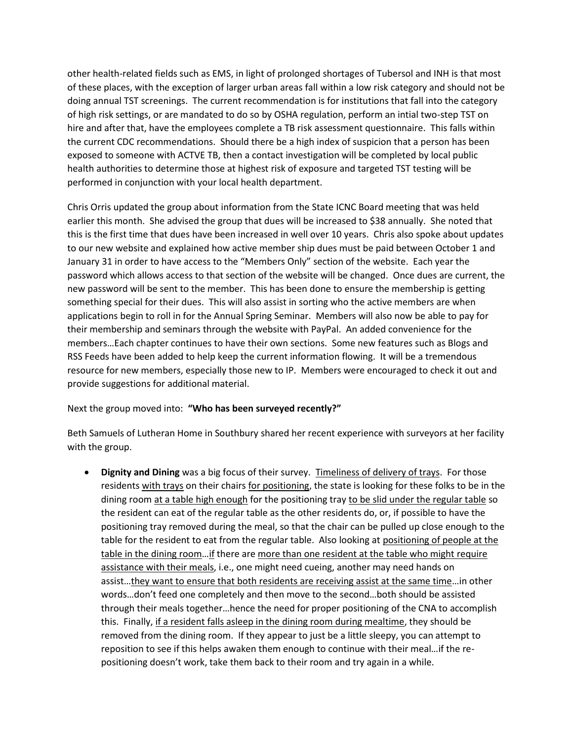other health-related fields such as EMS, in light of prolonged shortages of Tubersol and INH is that most of these places, with the exception of larger urban areas fall within a low risk category and should not be doing annual TST screenings. The current recommendation is for institutions that fall into the category of high risk settings, or are mandated to do so by OSHA regulation, perform an intial two-step TST on hire and after that, have the employees complete a TB risk assessment questionnaire. This falls within the current CDC recommendations. Should there be a high index of suspicion that a person has been exposed to someone with ACTVE TB, then a contact investigation will be completed by local public health authorities to determine those at highest risk of exposure and targeted TST testing will be performed in conjunction with your local health department.

Chris Orris updated the group about information from the State ICNC Board meeting that was held earlier this month. She advised the group that dues will be increased to \$38 annually. She noted that this is the first time that dues have been increased in well over 10 years. Chris also spoke about updates to our new website and explained how active member ship dues must be paid between October 1 and January 31 in order to have access to the "Members Only" section of the website. Each year the password which allows access to that section of the website will be changed. Once dues are current, the new password will be sent to the member. This has been done to ensure the membership is getting something special for their dues. This will also assist in sorting who the active members are when applications begin to roll in for the Annual Spring Seminar. Members will also now be able to pay for their membership and seminars through the website with PayPal. An added convenience for the members…Each chapter continues to have their own sections. Some new features such as Blogs and RSS Feeds have been added to help keep the current information flowing. It will be a tremendous resource for new members, especially those new to IP. Members were encouraged to check it out and provide suggestions for additional material.

## Next the group moved into: **"Who has been surveyed recently?"**

Beth Samuels of Lutheran Home in Southbury shared her recent experience with surveyors at her facility with the group.

 **Dignity and Dining** was a big focus of their survey. Timeliness of delivery of trays. For those residents with trays on their chairs for positioning, the state is looking for these folks to be in the dining room at a table high enough for the positioning tray to be slid under the regular table so the resident can eat of the regular table as the other residents do, or, if possible to have the positioning tray removed during the meal, so that the chair can be pulled up close enough to the table for the resident to eat from the regular table. Also looking at positioning of people at the table in the dining room…if there are more than one resident at the table who might require assistance with their meals, i.e., one might need cueing, another may need hands on assist…they want to ensure that both residents are receiving assist at the same time…in other words…don't feed one completely and then move to the second…both should be assisted through their meals together…hence the need for proper positioning of the CNA to accomplish this. Finally, if a resident falls asleep in the dining room during mealtime, they should be removed from the dining room. If they appear to just be a little sleepy, you can attempt to reposition to see if this helps awaken them enough to continue with their meal…if the repositioning doesn't work, take them back to their room and try again in a while.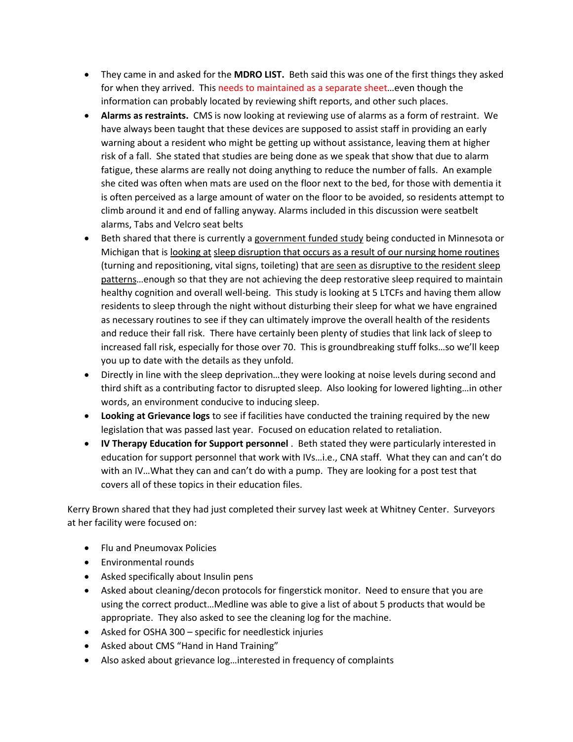- They came in and asked for the **MDRO LIST.** Beth said this was one of the first things they asked for when they arrived. This needs to maintained as a separate sheet…even though the information can probably located by reviewing shift reports, and other such places.
- **Alarms as restraints.** CMS is now looking at reviewing use of alarms as a form of restraint. We have always been taught that these devices are supposed to assist staff in providing an early warning about a resident who might be getting up without assistance, leaving them at higher risk of a fall. She stated that studies are being done as we speak that show that due to alarm fatigue, these alarms are really not doing anything to reduce the number of falls. An example she cited was often when mats are used on the floor next to the bed, for those with dementia it is often perceived as a large amount of water on the floor to be avoided, so residents attempt to climb around it and end of falling anyway. Alarms included in this discussion were seatbelt alarms, Tabs and Velcro seat belts
- Beth shared that there is currently a government funded study being conducted in Minnesota or Michigan that is looking at sleep disruption that occurs as a result of our nursing home routines (turning and repositioning, vital signs, toileting) that are seen as disruptive to the resident sleep patterns…enough so that they are not achieving the deep restorative sleep required to maintain healthy cognition and overall well-being. This study is looking at 5 LTCFs and having them allow residents to sleep through the night without disturbing their sleep for what we have engrained as necessary routines to see if they can ultimately improve the overall health of the residents and reduce their fall risk. There have certainly been plenty of studies that link lack of sleep to increased fall risk, especially for those over 70. This is groundbreaking stuff folks…so we'll keep you up to date with the details as they unfold.
- Directly in line with the sleep deprivation…they were looking at noise levels during second and third shift as a contributing factor to disrupted sleep. Also looking for lowered lighting…in other words, an environment conducive to inducing sleep.
- **Looking at Grievance logs** to see if facilities have conducted the training required by the new legislation that was passed last year. Focused on education related to retaliation.
- **IV Therapy Education for Support personnel** . Beth stated they were particularly interested in education for support personnel that work with IVs…i.e., CNA staff. What they can and can't do with an IV…What they can and can't do with a pump. They are looking for a post test that covers all of these topics in their education files.

Kerry Brown shared that they had just completed their survey last week at Whitney Center. Surveyors at her facility were focused on:

- Flu and Pneumovax Policies
- Environmental rounds
- Asked specifically about Insulin pens
- Asked about cleaning/decon protocols for fingerstick monitor. Need to ensure that you are using the correct product…Medline was able to give a list of about 5 products that would be appropriate. They also asked to see the cleaning log for the machine.
- Asked for OSHA 300 specific for needlestick injuries
- Asked about CMS "Hand in Hand Training"
- Also asked about grievance log…interested in frequency of complaints